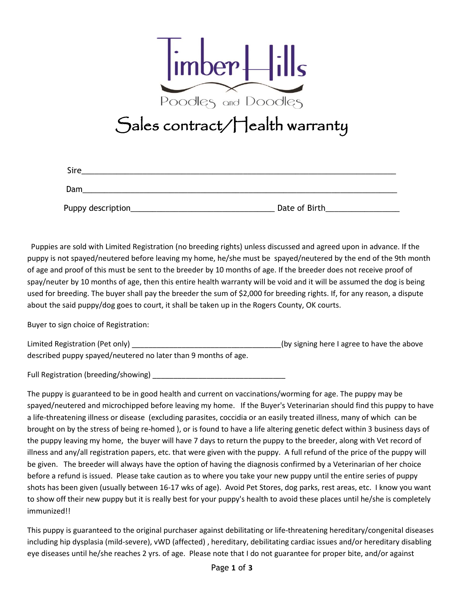

## Sales contract/Health warranty

| <b>Sire</b>        |               |
|--------------------|---------------|
| Dam                |               |
| Puppy description_ | Date of Birth |

 Puppies are sold with Limited Registration (no breeding rights) unless discussed and agreed upon in advance. If the puppy is not spayed/neutered before leaving my home, he/she must be spayed/neutered by the end of the 9th month of age and proof of this must be sent to the breeder by 10 months of age. If the breeder does not receive proof of spay/neuter by 10 months of age, then this entire health warranty will be void and it will be assumed the dog is being used for breeding. The buyer shall pay the breeder the sum of \$2,000 for breeding rights. If, for any reason, a dispute about the said puppy/dog goes to court, it shall be taken up in the Rogers County, OK courts.

Buyer to sign choice of Registration:

Limited Registration (Pet only) \_\_\_\_\_\_\_\_\_\_\_\_\_\_\_\_\_\_\_\_\_\_\_\_\_\_\_\_\_\_\_\_\_\_\_\_(by signing here I agree to have the above described puppy spayed/neutered no later than 9 months of age.

Full Registration (breeding/showing)

The puppy is guaranteed to be in good health and current on vaccinations/worming for age. The puppy may be spayed/neutered and microchipped before leaving my home. If the Buyer's Veterinarian should find this puppy to have a life-threatening illness or disease (excluding parasites, coccidia or an easily treated illness, many of which can be brought on by the stress of being re-homed ), or is found to have a life altering genetic defect within 3 business days of the puppy leaving my home, the buyer will have 7 days to return the puppy to the breeder, along with Vet record of illness and any/all registration papers, etc. that were given with the puppy. A full refund of the price of the puppy will be given. The breeder will always have the option of having the diagnosis confirmed by a Veterinarian of her choice before a refund is issued. Please take caution as to where you take your new puppy until the entire series of puppy shots has been given (usually between 16-17 wks of age). Avoid Pet Stores, dog parks, rest areas, etc. I know you want to show off their new puppy but it is really best for your puppy's health to avoid these places until he/she is completely immunized!!

This puppy is guaranteed to the original purchaser against debilitating or life-threatening hereditary/congenital diseases including hip dysplasia (mild-severe), vWD (affected) , hereditary, debilitating cardiac issues and/or hereditary disabling eye diseases until he/she reaches 2 yrs. of age. Please note that I do not guarantee for proper bite, and/or against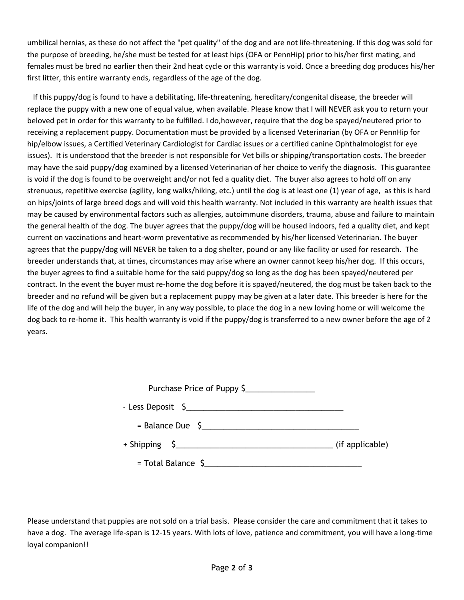umbilical hernias, as these do not affect the "pet quality" of the dog and are not life-threatening. If this dog was sold for the purpose of breeding, he/she must be tested for at least hips (OFA or PennHip) prior to his/her first mating, and females must be bred no earlier then their 2nd heat cycle or this warranty is void. Once a breeding dog produces his/her first litter, this entire warranty ends, regardless of the age of the dog.

 If this puppy/dog is found to have a debilitating, life-threatening, hereditary/congenital disease, the breeder will replace the puppy with a new one of equal value, when available. Please know that I will NEVER ask you to return your beloved pet in order for this warranty to be fulfilled. I do,however, require that the dog be spayed/neutered prior to receiving a replacement puppy. Documentation must be provided by a licensed Veterinarian (by OFA or PennHip for hip/elbow issues, a Certified Veterinary Cardiologist for Cardiac issues or a certified canine Ophthalmologist for eye issues). It is understood that the breeder is not responsible for Vet bills or shipping/transportation costs. The breeder may have the said puppy/dog examined by a licensed Veterinarian of her choice to verify the diagnosis. This guarantee is void if the dog is found to be overweight and/or not fed a quality diet. The buyer also agrees to hold off on any strenuous, repetitive exercise (agility, long walks/hiking, etc.) until the dog is at least one (1) year of age, as this is hard on hips/joints of large breed dogs and will void this health warranty. Not included in this warranty are health issues that may be caused by environmental factors such as allergies, autoimmune disorders, trauma, abuse and failure to maintain the general health of the dog. The buyer agrees that the puppy/dog will be housed indoors, fed a quality diet, and kept current on vaccinations and heart-worm preventative as recommended by his/her licensed Veterinarian. The buyer agrees that the puppy/dog will NEVER be taken to a dog shelter, pound or any like facility or used for research. The breeder understands that, at times, circumstances may arise where an owner cannot keep his/her dog. If this occurs, the buyer agrees to find a suitable home for the said puppy/dog so long as the dog has been spayed/neutered per contract. In the event the buyer must re-home the dog before it is spayed/neutered, the dog must be taken back to the breeder and no refund will be given but a replacement puppy may be given at a later date. This breeder is here for the life of the dog and will help the buyer, in any way possible, to place the dog in a new loving home or will welcome the dog back to re-home it. This health warranty is void if the puppy/dog is transferred to a new owner before the age of 2 years.

| Purchase Price of Puppy \$      |                 |
|---------------------------------|-----------------|
| - Less Deposit \$               |                 |
| $=$ Balance Due $\int$          |                 |
| $+$ Shipping $\zeta$            | (if applicable) |
| $=$ Total Balance $\frac{5}{2}$ |                 |

Please understand that puppies are not sold on a trial basis. Please consider the care and commitment that it takes to have a dog. The average life-span is 12-15 years. With lots of love, patience and commitment, you will have a long-time loyal companion!!